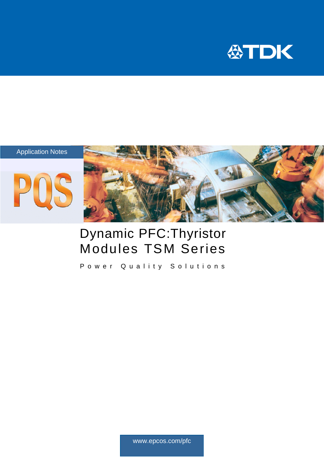



# Dynamic PFC:Thyristor Modules TSM Series

Power Quality Solutions

www.epcos.com/pfc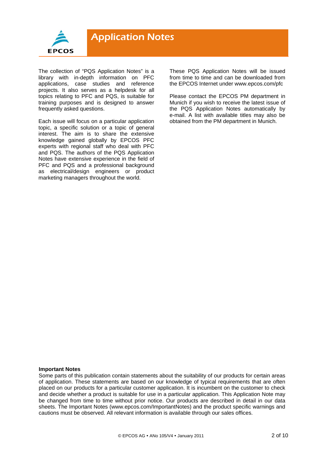

The collection of "PQS Application Notes" is a library with in-depth information on PFC applications, case studies and reference projects. It also serves as a helpdesk for all topics relating to PFC and PQS, is suitable for training purposes and is designed to answer frequently asked questions.

Each issue will focus on a particular application topic, a specific solution or a topic of general interest. The aim is to share the extensive knowledge gained globally by EPCOS PFC experts with regional staff who deal with PFC and PQS. The authors of the PQS Application Notes have extensive experience in the field of PFC and PQS and a professional background as electrical/design engineers or product marketing managers throughout the world.

These PQS Application Notes will be issued from time to time and can be downloaded from the EPCOS Internet under www.epcos.com/pfc

Please contact the EPCOS PM department in Munich if you wish to receive the latest issue of the PQS Application Notes automatically by e-mail. A list with available titles may also be obtained from the PM department in Munich.

#### **Important Notes**

Some parts of this publication contain statements about the suitability of our products for certain areas of application. These statements are based on our knowledge of typical requirements that are often placed on our products for a particular customer application. It is incumbent on the customer to check and decide whether a product is suitable for use in a particular application. This Application Note may be changed from time to time without prior notice. Our products are described in detail in our data sheets. The Important Notes (www.epcos.com/ImportantNotes) and the product specific warnings and cautions must be observed. All relevant information is available through our sales offices.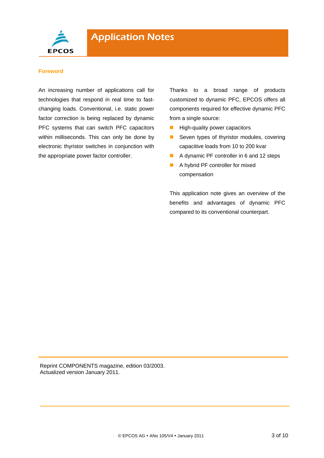

#### **Foreword**

An increasing number of applications call for technologies that respond in real time to fastchanging loads. Conventional, i.e. static power factor correction is being replaced by dynamic PFC systems that can switch PFC capacitors within milliseconds. This can only be done by electronic thyristor switches in conjunction with the appropriate power factor controller.

Thanks to a broad range of products customized to dynamic PFC, EPCOS offers all components required for effective dynamic PFC from a single source:

- $\blacksquare$  High-quality power capacitors
- Seven types of thyristor modules, covering capacitive loads from 10 to 200 kvar
- A dynamic PF controller in 6 and 12 steps
- A hybrid PF controller for mixed compensation

This application note gives an overview of the benefits and advantages of dynamic PFC compared to its conventional counterpart.

Reprint COMPONENTS magazine, edition 03/2003. Actualized version January 2011.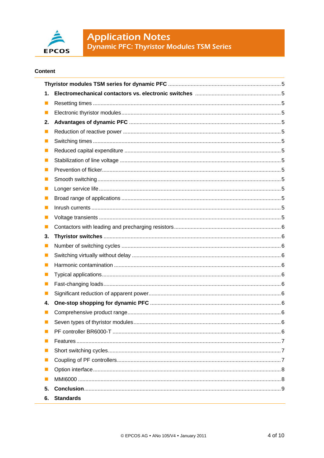

# **Application Notes**<br>Dynamic PFC: Thyristor Modules TSM Series

#### **Content**

| 1.             |                                       |  |
|----------------|---------------------------------------|--|
| ш              |                                       |  |
| ш              |                                       |  |
| 2.             |                                       |  |
| ш              |                                       |  |
| ш              |                                       |  |
| ш              |                                       |  |
| ш              |                                       |  |
|                |                                       |  |
| ш              |                                       |  |
| ш              |                                       |  |
| ш              |                                       |  |
| ш              |                                       |  |
|                |                                       |  |
| ш              |                                       |  |
| 3.             |                                       |  |
| ш              |                                       |  |
| ш              |                                       |  |
| ш              |                                       |  |
| ш              |                                       |  |
| ш              |                                       |  |
|                |                                       |  |
| 4.             |                                       |  |
|                |                                       |  |
|                | Seven types of thyristor modules<br>6 |  |
|                |                                       |  |
|                |                                       |  |
| ш              |                                       |  |
| $\blacksquare$ |                                       |  |
|                |                                       |  |
|                |                                       |  |
| 5.             |                                       |  |
| 6.             | <b>Standards</b>                      |  |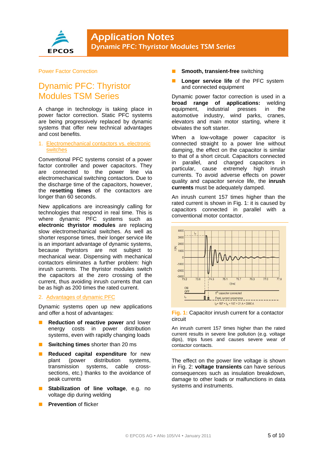

#### Power Factor Correction

## Dynamic PFC: Thyristor Modules TSM Series

A change in technology is taking place in power factor correction. Static PFC systems are being progressively replaced by dynamic systems that offer new technical advantages and cost benefits.

#### 1. Electromechanical contactors vs. electronic switches

Conventional PFC systems consist of a power factor controller and power capacitors. They are connected to the power line via electromechanical switching contactors. Due to the discharge time of the capacitors, however, the **resetting times** of the contactors are longer than 60 seconds.

New applications are increasingly calling for technologies that respond in real time. This is where dynamic PFC systems such as **electronic thyristor modules** are replacing slow electromechanical switches. As well as shorter response times, their longer service life is an important advantage of dynamic systems, because thyristors are not subject to mechanical wear. Dispensing with mechanical contactors eliminates a further problem: high inrush currents. The thyristor modules switch the capacitors at the zero crossing of the current, thus avoiding inrush currents that can be as high as 200 times the rated current.

#### 2. Advantages of dynamic PFC

Dynamic systems open up new applications and offer a host of advantages:

- **Reduction of reactive power** and lower energy costs in power distribution systems, even with rapidly changing loads
- **Switching times** shorter than 20 ms
- **Reduced capital expenditure** for new plant (power distribution systems, transmission systems, cable crosssections, etc.) thanks to the avoidance of peak currents
- **Stabilization of line voltage**, e.g. no voltage dip during welding
- **Prevention** of flicker
- **Smooth, transient-free** switching
- **Longer service life** of the PFC system and connected equipment

Dynamic power factor correction is used in a **broad range of applications:** welding equipment, industrial presses in the automotive industry, wind parks, cranes, elevators and main motor starting, where it obviates the soft starter.

When a low-voltage power capacitor is connected straight to a power line without damping, the effect on the capacitor is similar to that of a short circuit. Capacitors connected in parallel, and charged capacitors in particular, cause extremely high inrush currents. To avoid adverse effects on power quality and capacitor service life, the **inrush currents** must be adequately damped.

An inrush current 157 times higher than the rated current is shown in Fig. 1: it is caused by capacitors connected in parallel with a conventional motor contactor.



#### **Fig. 1:** Capacitor inrush current for a contactor circuit

An inrush current 157 times higher than the rated current results in severe line pollution (e.g. voltage dips), trips fuses and causes severe wear of contactor contacts.

The effect on the power line voltage is shown in Fig. 2: **voltage transients** can have serious consequences such as insulation breakdown, damage to other loads or malfunctions in data systems and instruments.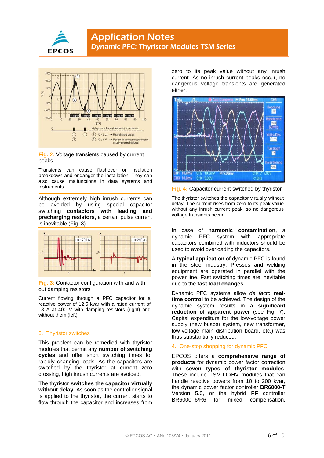



#### **Fig. 2:** Voltage transients caused by current peaks

Transients can cause flashover or insulation breakdown and endanger the installation. They can also cause malfunctions in data systems and instruments.

Although extremely high inrush currents can be avoided by using special capacitor switching **contactors with leading and precharging resistors**, a certain pulse current is inevitable (Fig. 3).



**Fig. 3:** Contactor configuration with and without damping resistors

Current flowing through a PFC capacitor for a reactive power of 12.5 kvar with a rated current of 18 A at 400 V with damping resistors (right) and without them (left).

#### 3. Thyristor switches

This problem can be remedied with thyristor modules that permit any **number of switching cycles** and offer short switching times for rapidly changing loads. As the capacitors are switched by the thyristor at current zero crossing, high inrush currents are avoided.

The thyristor **switches the capacitor virtually without delay.** As soon as the controller signal is applied to the thyristor, the current starts to flow through the capacitor and increases from

zero to its peak value without any inrush current. As no inrush current peaks occur, no dangerous voltage transients are generated either.



**Fig. 4:** Capacitor current switched by thyristor

The thyristor switches the capacitor virtually without delay. The current rises from zero to its peak value without any inrush current peak, so no dangerous voltage transients occur.

In case of **harmonic contamination**, a dynamic PFC system with appropriate capacitors combined with inductors should be used to avoid overloading the capacitors.

A **typical application** of dynamic PFC is found in the steel industry. Presses and welding equipment are operated in parallel with the power line. Fast switching times are inevitable due to the **fast load changes**.

Dynamic PFC systems allow *de facto* **realtime control** to be achieved. The design of the dynamic system results in a **significant reduction of apparent power** (see Fig. 7). Capital expenditure for the low-voltage power supply (new busbar system, new transformer, low-voltage main distribution board, etc.) was thus substantially reduced.

#### 4. One-stop shopping for dynamic PFC

EPCOS offers a **comprehensive range of products** for dynamic power factor correction with **seven types of thyristor modules**. These include TSM-LC/HV modules that can handle reactive powers from 10 to 200 kvar, the dynamic power factor controller **BR6000-T** Version 5.0, or the hybrid PF controller BR6000T6/R6 for mixed compensation,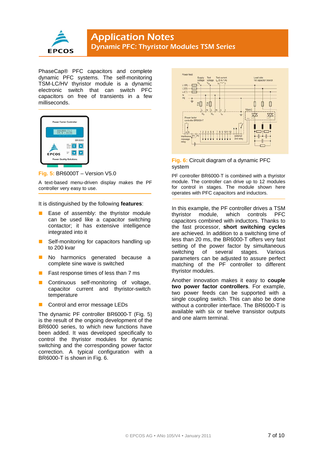

PhaseCap® PFC capacitors and complete dynamic PFC systems. The self-monitoring TSM-LC/HV thyristor module is a dynamic electronic switch that can switch PFC capacitors on free of transients in a few milliseconds.



#### **Fig. 5:** BR6000T – Version V5.0

A text-based menu-driven display makes the PF controller very easy to use.

It is distinguished by the following **features**:

- Ease of assembly: the thyristor module can be used like a capacitor switching contactor; it has extensive intelligence integrated into it
- Self-monitoring for capacitors handling up to 200 kvar
- No harmonics generated because a complete sine wave is switched
- **Fast response times of less than 7 ms**
- Continuous self-monitoring of voltage, capacitor current and thyristor-switch temperature
- **Control and error message LEDs**

The dynamic PF controller BR6000-T (Fig. 5) is the result of the ongoing development of the BR6000 series, to which new functions have been added. It was developed specifically to control the thyristor modules for dynamic switching and the corresponding power factor correction. A typical configuration with a BR6000-T is shown in Fig. 6.



#### **Fig. 6:** Circuit diagram of a dynamic PFC system

PF controller BR6000-T is combined with a thyristor module. The controller can drive up to 12 modules for control in stages. The module shown here operates with PFC capacitors and inductors.

In this example, the PF controller drives a TSM thyristor module, which controls PFC capacitors combined with inductors. Thanks to the fast processor, **short switching cycles** are achieved. In addition to a switching time of less than 20 ms, the BR6000-T offers very fast setting of the power factor by simultaneous switching of several stages. Various parameters can be adjusted to assure perfect matching of the PF controller to different thyristor modules.

Another innovation makes it easy to **couple two power factor controllers**. For example, two power feeds can be supported with a single coupling switch. This can also be done without a controller interface. The BR6000-T is available with six or twelve transistor outputs and one alarm terminal.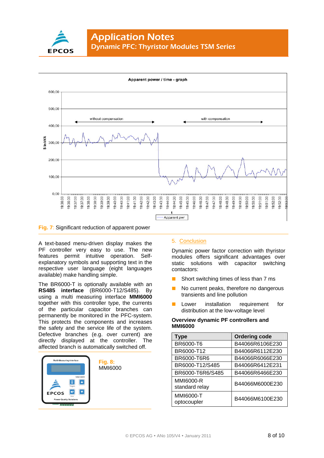



#### **Fig. 7**: Significant reduction of apparent power

A text-based menu-driven display makes the PF controller very easy to use. The new features permit intuitive operation. Selfexplanatory symbols and supporting text in the respective user language (eight languages available) make handling simple.

The BR6000-T is optionally available with an **RS485 interface** (BR6000-T12/S485). By using a multi measuring interface **MMI6000** together with this controller type, the currents of the particular capacitor branches can permanently be monitored in the PFC-system. This protects the components and increases the safety and the service life of the system. Defective branches (e.g. over current) are directly displayed at the controller. The affected branch is automatically switched off.



#### 5. Conclusion

Dynamic power factor correction with thyristor modules offers significant advantages over static solutions with capacitor switching contactors:

- Short switching times of less than 7 ms
- No current peaks, therefore no dangerous transients and line pollution
- Lower installation requirement for distribution at the low-voltage level

#### **Overview dynamic PF controllers and MMI6000**

| Type                               | <b>Ordering code</b> |
|------------------------------------|----------------------|
| BR6000-T6                          | B44066R6106E230      |
| BR6000-T12                         | B44066R6112E230      |
| BR6000-T6R6                        | B44066R6066E230      |
| BR6000-T12/S485                    | B44066R6412E231      |
| BR6000-T6R6/S485                   | B44066R6466E230      |
| <b>MMI6000-R</b><br>standard relay | B44066M6000E230      |
| MMI6000-T<br>optocoupler           | B44066M6100E230      |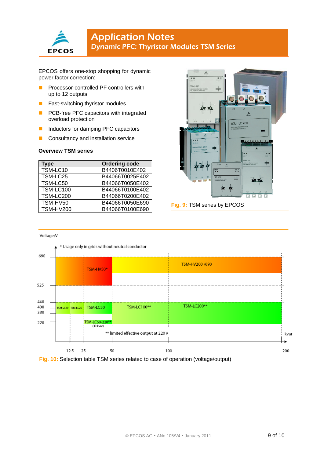

### **Application Notes** Dynamic PFC: Thyristor Modules TSM Series

EPCOS offers one-stop shopping for dynamic power factor correction:

- **PROCESSOR-CONTOLED PROCESSOR-CONTOLER F** controllers with up to 12 outputs
- **Fast-switching thyristor modules**
- **PCB-free PFC capacitors with integrated** overload protection
- Inductors for damping PFC capacitors
- **Consultancy and installation service**

#### **Overview TSM series**

| Type             | <b>Ordering code</b> |
|------------------|----------------------|
| TSM-LC10         | B4406T0010E402       |
| TSM-LC25         | B44066T0025E402      |
| TSM-LC50         | B44066T0050E402      |
| <b>TSM-LC100</b> | B44066T0100E402      |
| <b>TSM-LC200</b> | B44066T0200E402      |
| TSM-HV50         | B44066T0050E690      |
| <b>TSM-HV200</b> | B44066T0100E690      |



Fig. 9: TSM series by EPCOS